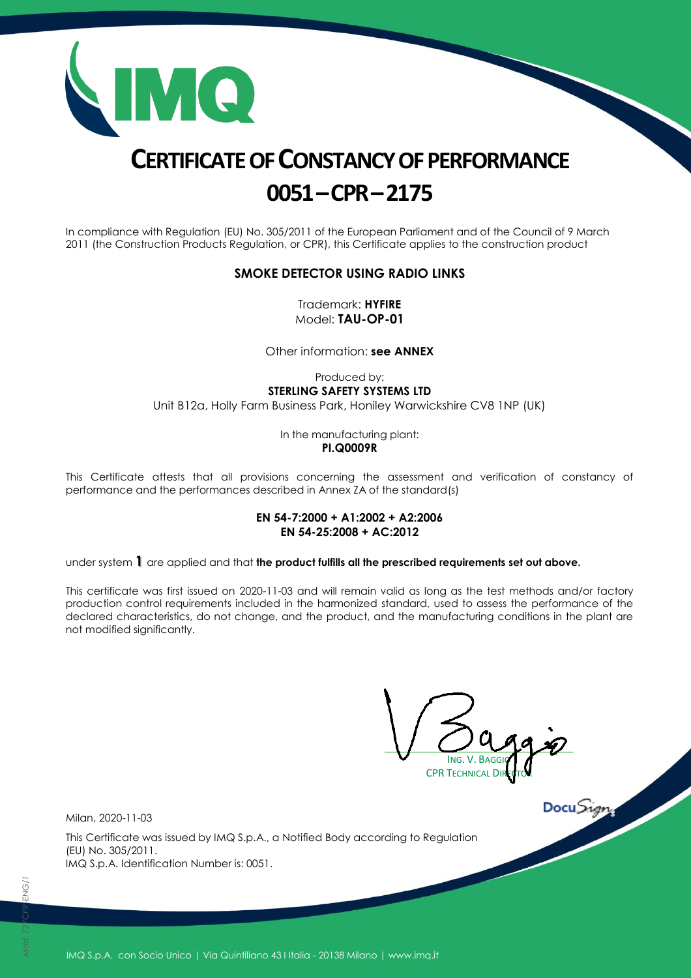

# **CERTIFICATE OF CONSTANCY OF PERFORMANCE 0051–CPR–2175**

In compliance with Regulation (EU) No. 305/2011 of the European Parliament and of the Council of 9 March 2011 (the Construction Products Regulation, or CPR), this Certificate applies to the construction product

#### **SMOKE DETECTOR USING RADIO LINKS**

Trademark: **HYFIRE** Model: **TAU-OP-01**

Other information: **see ANNEX**

Produced by: **STERLING SAFETY SYSTEMS LTD** Unit B12a, Holly Farm Business Park, Honiley Warwickshire CV8 1NP (UK)

> In the manufacturing plant: **PI.Q0009R**

This Certificate attests that all provisions concerning the assessment and verification of constancy of performance and the performances described in Annex ZA of the standard(s)

#### **EN 54-7:2000 + A1:2002 + A2:2006 EN 54-25:2008 + AC:2012**

under system **1** are applied and that **the product fulfills all the prescribed requirements set out above.**

This certificate was first issued on 2020-11-03 and will remain valid as long as the test methods and/or factory production control requirements included in the harmonized standard, used to assess the performance of the declared characteristics, do not change, and the product, and the manufacturing conditions in the plant are not modified significantly.

ING. V. BAGGIO **CPR TECHNICAL** 

Milan, 2020-11-03

This Certificate was issued by IMQ S.p.A., a Notified Body according to Regulation (EU) No. 305/2011. IMQ S.p.A. Identification Number is: 0051.